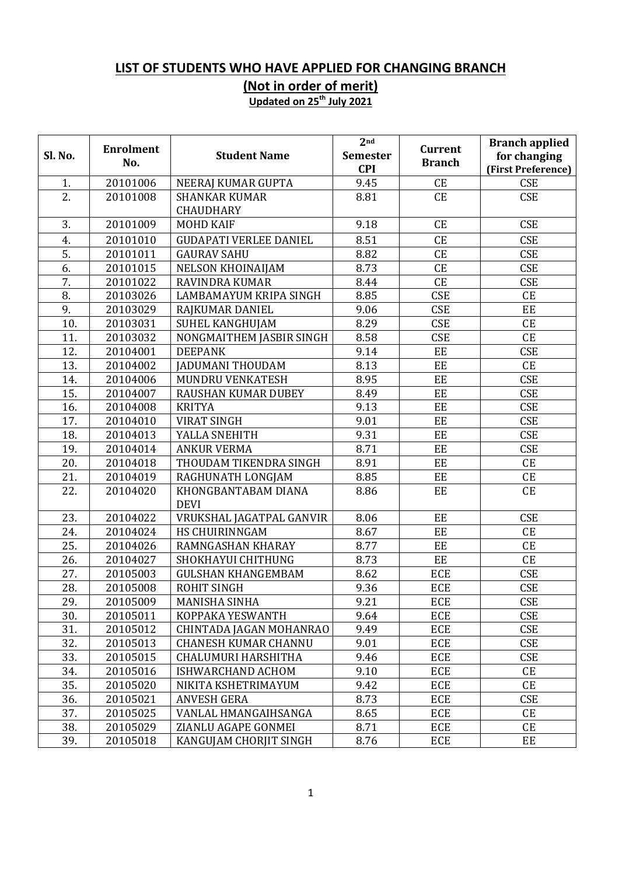## **LIST OF STUDENTS WHO HAVE APPLIED FOR CHANGING BRANCH**

**(Not in order of merit)**

**Updated on 25th July 2021**

|                  | <b>Enrolment</b> |                               | 2 <sub>nd</sub> | <b>Current</b> | <b>Branch applied</b> |
|------------------|------------------|-------------------------------|-----------------|----------------|-----------------------|
| Sl. No.          | No.              | <b>Student Name</b>           | <b>Semester</b> | <b>Branch</b>  | for changing          |
|                  |                  |                               | <b>CPI</b>      |                | (First Preference)    |
| 1.               | 20101006         | NEERAJ KUMAR GUPTA            | 9.45            | CE             | <b>CSE</b>            |
| 2.               | 20101008         | <b>SHANKAR KUMAR</b>          | 8.81            | <b>CE</b>      | <b>CSE</b>            |
|                  |                  | <b>CHAUDHARY</b>              |                 |                |                       |
| 3.               | 20101009         | <b>MOHD KAIF</b>              | 9.18            | <b>CE</b>      | <b>CSE</b>            |
| 4.               | 20101010         | <b>GUDAPATI VERLEE DANIEL</b> | 8.51            | <b>CE</b>      | <b>CSE</b>            |
| $\overline{5}$ . | 20101011         | <b>GAURAV SAHU</b>            | 8.82            | <b>CE</b>      | <b>CSE</b>            |
| $\overline{6}$ . | 20101015         | NELSON KHOINAIJAM             | 8.73            | CE             | <b>CSE</b>            |
| 7.               | 20101022         | RAVINDRA KUMAR                | 8.44            | CE             | <b>CSE</b>            |
| 8.               | 20103026         | LAMBAMAYUM KRIPA SINGH        | 8.85            | <b>CSE</b>     | CE                    |
| 9.               | 20103029         | RAJKUMAR DANIEL               | 9.06            | <b>CSE</b>     | EE                    |
| 10.              | 20103031         | SUHEL KANGHUJAM               | 8.29            | <b>CSE</b>     | CE                    |
| 11.              | 20103032         | NONGMAITHEM JASBIR SINGH      | 8.58            | <b>CSE</b>     | CE                    |
| 12.              | 20104001         | <b>DEEPANK</b>                | 9.14            | EE             | <b>CSE</b>            |
| 13.              | 20104002         | <b>JADUMANI THOUDAM</b>       | 8.13            | EE             | CE                    |
| 14.              | 20104006         | MUNDRU VENKATESH              | 8.95            | EE             | <b>CSE</b>            |
| 15.              | 20104007         | <b>RAUSHAN KUMAR DUBEY</b>    | 8.49            | EE             | <b>CSE</b>            |
| 16.              | 20104008         | <b>KRITYA</b>                 | 9.13            | EE             | <b>CSE</b>            |
| 17.              | 20104010         | <b>VIRAT SINGH</b>            | 9.01            | EE             | <b>CSE</b>            |
| 18.              | 20104013         | YALLA SNEHITH                 | 9.31            | EE             | <b>CSE</b>            |
| 19.              | 20104014         | <b>ANKUR VERMA</b>            | 8.71            | EE             | <b>CSE</b>            |
| 20.              | 20104018         | THOUDAM TIKENDRA SINGH        | 8.91            | EE             | CE                    |
| 21.              | 20104019         | RAGHUNATH LONGJAM             | 8.85            | EE             | CE                    |
| 22.              | 20104020         | KHONGBANTABAM DIANA           | 8.86            | EE             | CE                    |
|                  |                  | <b>DEVI</b>                   |                 |                |                       |
| 23.              | 20104022         | VRUKSHAL JAGATPAL GANVIR      | 8.06            | EE             | <b>CSE</b>            |
| 24.              | 20104024         | HS CHUIRINNGAM                | 8.67            | EE             | CE                    |
| 25.              | 20104026         | RAMNGASHAN KHARAY             | 8.77            | EE             | CE                    |
| 26.              | 20104027         | SHOKHAYUI CHITHUNG            | 8.73            | EE             | CE                    |
| 27.              | 20105003         | <b>GULSHAN KHANGEMBAM</b>     | 8.62            | <b>ECE</b>     | <b>CSE</b>            |
| 28.              | 20105008         | <b>ROHIT SINGH</b>            | 9.36            | <b>ECE</b>     | <b>CSE</b>            |
| 29.              | 20105009         | <b>MANISHA SINHA</b>          | 9.21            | <b>ECE</b>     | <b>CSE</b>            |
| 30.              | 20105011         | KOPPAKA YESWANTH              | 9.64            | <b>ECE</b>     | <b>CSE</b>            |
| 31.              | 20105012         | CHINTADA JAGAN MOHANRAO       | 9.49            | ECE            | <b>CSE</b>            |
| 32.              | 20105013         | <b>CHANESH KUMAR CHANNU</b>   | 9.01            | <b>ECE</b>     | <b>CSE</b>            |
| 33.              | 20105015         | CHALUMURI HARSHITHA           | 9.46            | <b>ECE</b>     | <b>CSE</b>            |
| 34.              | 20105016         | ISHWARCHAND ACHOM             | 9.10            | <b>ECE</b>     | CE                    |
| 35.              | 20105020         | NIKITA KSHETRIMAYUM           | 9.42            | ECE            | CE                    |
| 36.              | 20105021         | <b>ANVESH GERA</b>            | 8.73            | <b>ECE</b>     | <b>CSE</b>            |
| 37.              | 20105025         | VANLAL HMANGAIHSANGA          | 8.65            | <b>ECE</b>     | CE                    |
| 38.              | 20105029         | ZIANLU AGAPE GONMEI           | 8.71            | <b>ECE</b>     | CE                    |
| 39.              | 20105018         | KANGUJAM CHORJIT SINGH        | 8.76            | <b>ECE</b>     | EE                    |